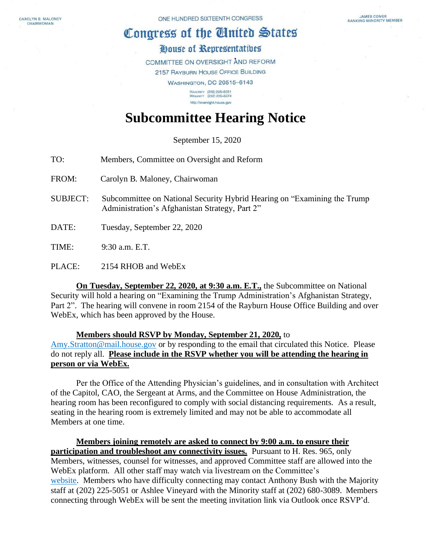CAROLYN B. MALONEY CHAIRWOMAN

## Congress of the United States

## House of Representatives

COMMITTEE ON OVERSIGHT AND REFORM 2157 RAYBURN HOUSE OFFICE BUILDING

> **WASHINGTON, DC 20515-6143** MAJORITY (202) 225-5051<br>MINORITY (202) 225-5074 http://oversight.house.gov

## **Subcommittee Hearing Notice**

September 15, 2020

TO: Members, Committee on Oversight and Reform

FROM: Carolyn B. Maloney, Chairwoman

SUBJECT: Subcommittee on National Security Hybrid Hearing on "Examining the Trump Administration's Afghanistan Strategy, Part 2"

DATE: Tuesday, September 22, 2020

TIME: 9:30 a.m. E.T.

PLACE: 2154 RHOB and WebEx

**On Tuesday, September 22, 2020, at 9:30 a.m. E.T.,** the Subcommittee on National Security will hold a hearing on "Examining the Trump Administration's Afghanistan Strategy, Part 2". The hearing will convene in room 2154 of the Rayburn House Office Building and over WebEx, which has been approved by the House.

**Members should RSVP by Monday, September 21, 2020,** to [Amy.Stratton@mail.house.gov](mailto:Amy.Stratton@mail.house.gov) or by responding to the email that circulated this Notice. Please do not reply all. **Please include in the RSVP whether you will be attending the hearing in person or via WebEx.** 

Per the Office of the Attending Physician's guidelines, and in consultation with Architect of the Capitol, CAO, the Sergeant at Arms, and the Committee on House Administration, the hearing room has been reconfigured to comply with social distancing requirements. As a result, seating in the hearing room is extremely limited and may not be able to accommodate all Members at one time.

**Members joining remotely are asked to connect by 9:00 a.m. to ensure their participation and troubleshoot any connectivity issues.** Pursuant to H. Res. 965, only Members, witnesses, counsel for witnesses, and approved Committee staff are allowed into the WebEx platform. All other staff may watch via livestream on the Committee's [website.](https://oversight.house.gov/legislation/hearings) Members who have difficulty connecting may contact Anthony Bush with the Majority staff at (202) 225-5051 or Ashlee Vineyard with the Minority staff at (202) 680-3089. Members connecting through WebEx will be sent the meeting invitation link via Outlook once RSVP'd.